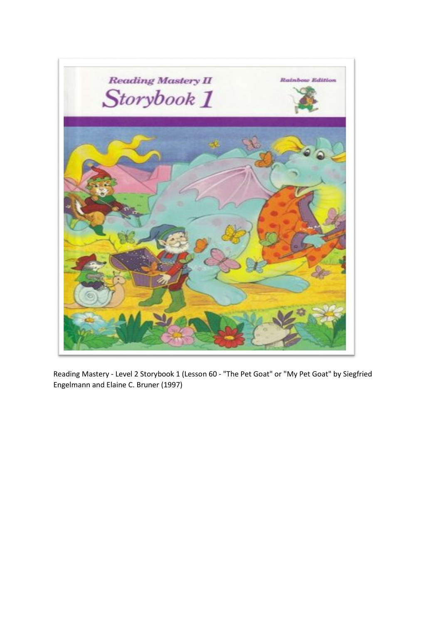

Reading Mastery - Level 2 Storybook 1 (Lesson 60 - "The Pet Goat" or "My Pet Goat" by Siegfried Engelmann and Elaine C. Bruner (1997)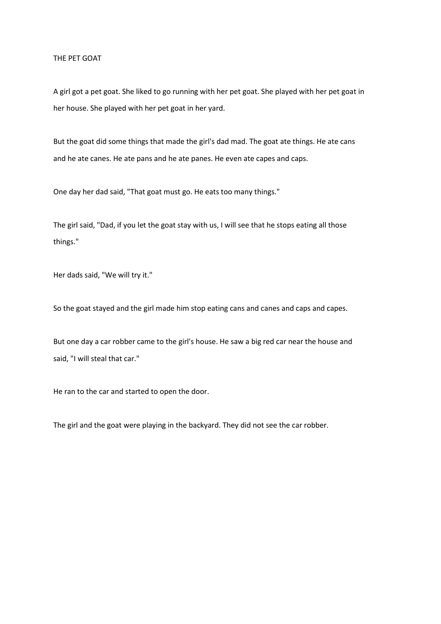## THE PET GOAT

A girl got a pet goat. She liked to go running with her pet goat. She played with her pet goat in her house. She played with her pet goat in her yard.

But the goat did some things that made the girl's dad mad. The goat ate things. He ate cans and he ate canes. He ate pans and he ate panes. He even ate capes and caps.

One day her dad said, "That goat must go. He eats too many things."

The girl said, "Dad, if you let the goat stay with us, I will see that he stops eating all those things."

Her dads said, "We will try it."

So the goat stayed and the girl made him stop eating cans and canes and caps and capes.

But one day a car robber came to the girl's house. He saw a big red car near the house and said, "I will steal that car."

He ran to the car and started to open the door.

The girl and the goat were playing in the backyard. They did not see the car robber.